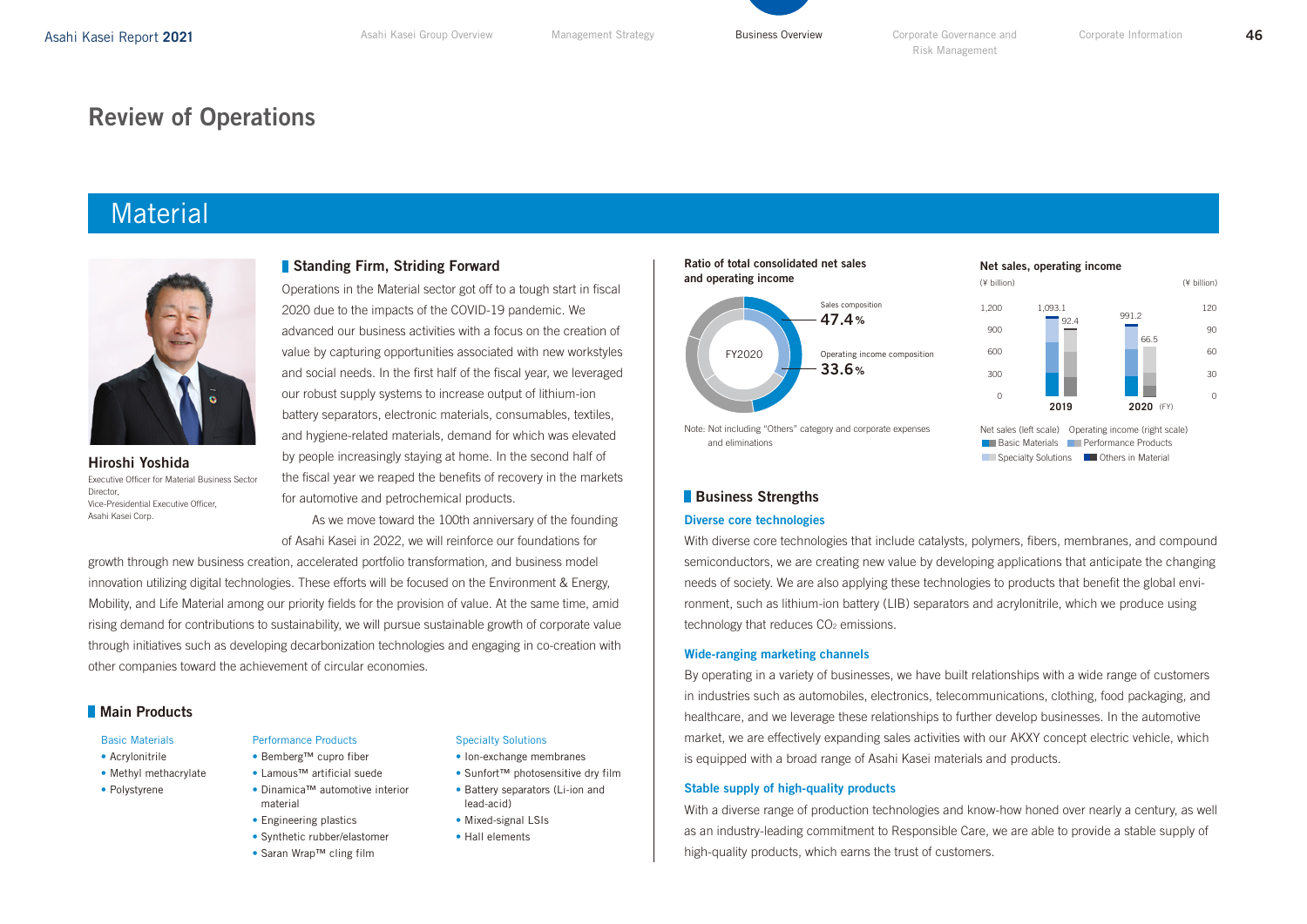# Review of Operations

# **Material**



Hiroshi Yoshida Executive Officer for Material Business Sector **Director** Vice-Presidential Executive Officer, Asahi Kasei Corp.

# Standing Firm, Striding Forward

Operations in the Material sector got off to a tough start in fiscal 2020 due to the impacts of the COVID-19 pandemic. We advanced our business activities with a focus on the creation of value by capturing opportunities associated with new workstyles and social needs. In the first half of the fiscal year, we leveraged our robust supply systems to increase output of lithium-ion battery separators, electronic materials, consumables, textiles, and hygiene-related materials, demand for which was elevated by people increasingly staying at home. In the second half of the fiscal year we reaped the benefits of recovery in the markets for automotive and petrochemical products.

As we move toward the 100th anniversary of the founding of Asahi Kasei in 2022, we will reinforce our foundations for

growth through new business creation, accelerated portfolio transformation, and business model innovation utilizing digital technologies. These efforts will be focused on the Environment & Energy, Mobility, and Life Material among our priority fields for the provision of value. At the same time, amid rising demand for contributions to sustainability, we will pursue sustainable growth of corporate value through initiatives such as developing decarbonization technologies and engaging in co-creation with other companies toward the achievement of circular economies.

# **Main Products**

# Basic Materials

- Acrylonitrile
- Methyl methacrylate
- Polystyrene

#### Performance Products

- Bemberg™ cupro fiber
- Lamous™ artificial suede
- Dinamica™ automotive interior material
- Engineering plastics
- Synthetic rubber/elastomer
- Saran Wrap™ cling film

#### Specialty Solutions

- Ion-exchange membranes
- Sunfort™ photosensitive dry film • Battery separators (Li-ion and
- lead-acid)
- Mixed-signal LSIs
- Hall elements

# Ratio of total consolidated net sales and operating income



# Net sales, operating income





# **Business Strengths**

#### Diverse core technologies

With diverse core technologies that include catalysts, polymers, fibers, membranes, and compound semiconductors, we are creating new value by developing applications that anticipate the changing needs of society. We are also applying these technologies to products that benefit the global environment, such as lithium-ion battery (LIB) separators and acrylonitrile, which we produce using technology that reduces CO<sub>2</sub> emissions.

### Wide-ranging marketing channels

By operating in a variety of businesses, we have built relationships with a wide range of customers in industries such as automobiles, electronics, telecommunications, clothing, food packaging, and healthcare, and we leverage these relationships to further develop businesses. In the automotive market, we are effectively expanding sales activities with our AKXY concept electric vehicle, which is equipped with a broad range of Asahi Kasei materials and products.

#### Stable supply of high-quality products

With a diverse range of production technologies and know-how honed over nearly a century, as well as an industry-leading commitment to Responsible Care, we are able to provide a stable supply of high-quality products, which earns the trust of customers.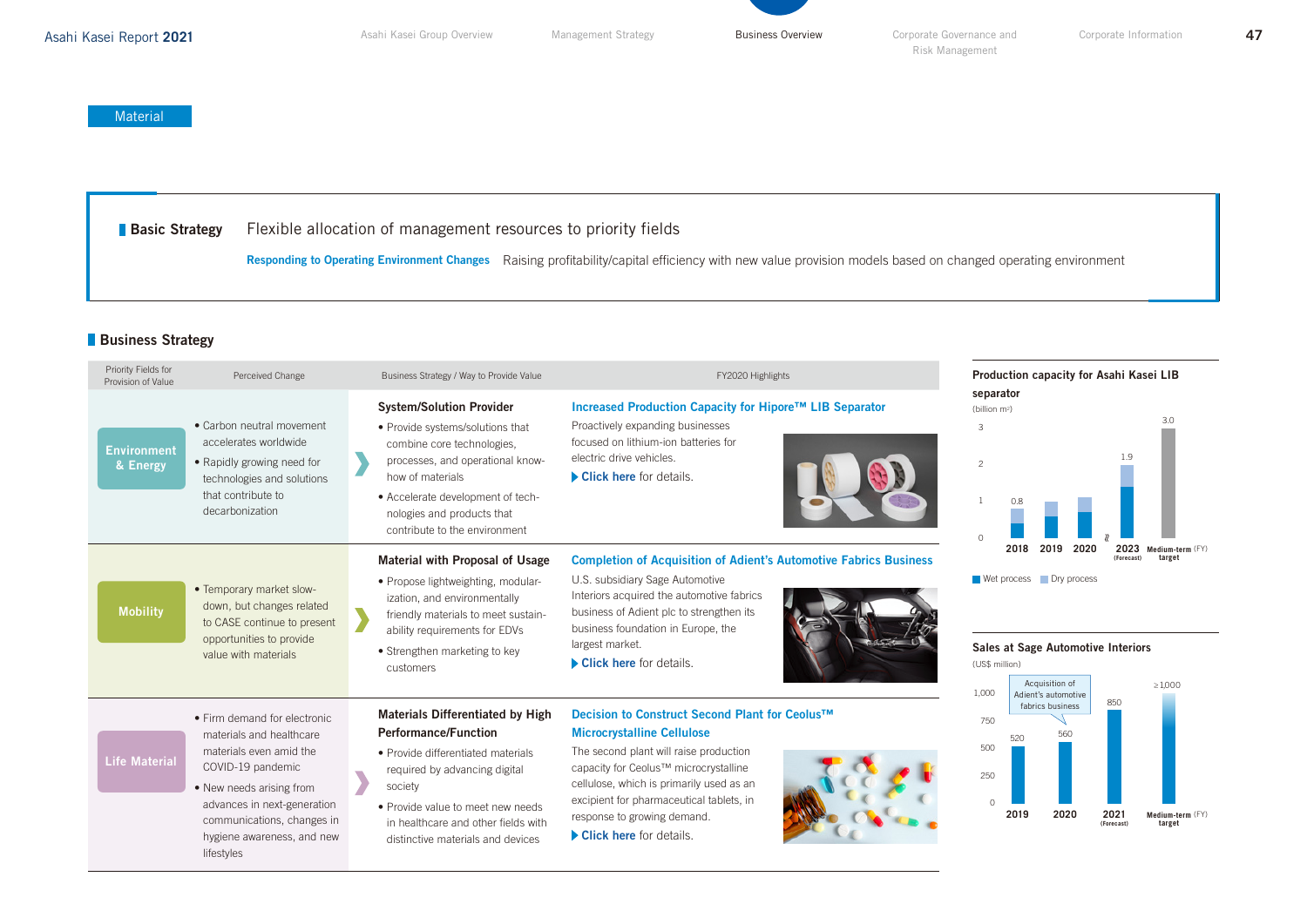# Material

# **Basic Strategy** Flexible allocation of management resources to priority fields

Responding to Operating Environment Changes Raising profitability/capital efficiency with new value provision models based on changed operating environment

# **Business Strategy**

| Priority Fields for<br>Provision of Value | Perceived Change                                                                                                                                                                                                                              | Business Strategy / Way to Provide Value                                                                                                                                                                                                                                  | FY2020 Highlights                                                                                                                                                                                                                                                                                                                         | Production capacity for Asahi Kasei LIB                                                                                                                                                                                              |
|-------------------------------------------|-----------------------------------------------------------------------------------------------------------------------------------------------------------------------------------------------------------------------------------------------|---------------------------------------------------------------------------------------------------------------------------------------------------------------------------------------------------------------------------------------------------------------------------|-------------------------------------------------------------------------------------------------------------------------------------------------------------------------------------------------------------------------------------------------------------------------------------------------------------------------------------------|--------------------------------------------------------------------------------------------------------------------------------------------------------------------------------------------------------------------------------------|
| <b>Environment</b><br>& Energy            | • Carbon neutral movement<br>accelerates worldwide<br>• Rapidly growing need for<br>technologies and solutions<br>that contribute to<br>decarbonization                                                                                       | <b>System/Solution Provider</b><br>• Provide systems/solutions that<br>combine core technologies,<br>processes, and operational know-<br>how of materials<br>• Accelerate development of tech-<br>nologies and products that<br>contribute to the environment             | Increased Production Capacity for Hipore™ LIB Separator<br>Proactively expanding businesses<br>focused on lithium-ion batteries for<br>electric drive vehicles.<br>$\triangleright$ Click here for details.                                                                                                                               | separator<br>(billion $m^2$ )<br>3.0<br>3<br>1.9<br>$\mathfrak{D}$<br>$\cap$                                                                                                                                                         |
| <b>Mobility</b>                           | • Temporary market slow-<br>down, but changes related<br>to CASE continue to present<br>opportunities to provide<br>value with materials                                                                                                      | Material with Proposal of Usage<br>• Propose lightweighting, modular-<br>ization, and environmentally<br>friendly materials to meet sustain-<br>ability requirements for EDVs<br>• Strengthen marketing to key<br>customers                                               | <b>Completion of Acquisition of Adient's Automotive Fabrics Business</b><br>U.S. subsidiary Sage Automotive<br>Interiors acquired the automotive fabrics<br>business of Adient plc to strengthen its<br>business foundation in Europe, the<br>largest market.<br>$\triangleright$ Click here for details.                                 | 2019<br>2020<br>2018<br>2023<br>Medium-term (FY)<br>target<br>(Forecast)<br>Wet process <b>Dry</b> process<br>Sales at Sage Automotive Interiors<br>(US\$ million)<br>Acquisition of<br>$\geq 1.000$<br>1,000<br>Adient's automotive |
| <b>Life Material</b>                      | • Firm demand for electronic<br>materials and healthcare<br>materials even amid the<br>COVID-19 pandemic<br>• New needs arising from<br>advances in next-generation<br>communications, changes in<br>hygiene awareness, and new<br>lifestyles | <b>Materials Differentiated by High</b><br><b>Performance/Function</b><br>• Provide differentiated materials<br>required by advancing digital<br>society<br>• Provide value to meet new needs<br>in healthcare and other fields with<br>distinctive materials and devices | Decision to Construct Second Plant for Ceolus™<br><b>Microcrystalline Cellulose</b><br>The second plant will raise production<br>capacity for Ceolus™ microcrystalline<br>cellulose, which is primarily used as an<br>excipient for pharmaceutical tablets, in<br>response to growing demand.<br>$\triangleright$ Click here for details. | 850<br>fabrics business<br>750<br>560<br>520<br>500<br>250<br>$\Omega$<br>2020<br>2019<br>2021<br>Medium-term (FY)<br>target<br>(Forecast)                                                                                           |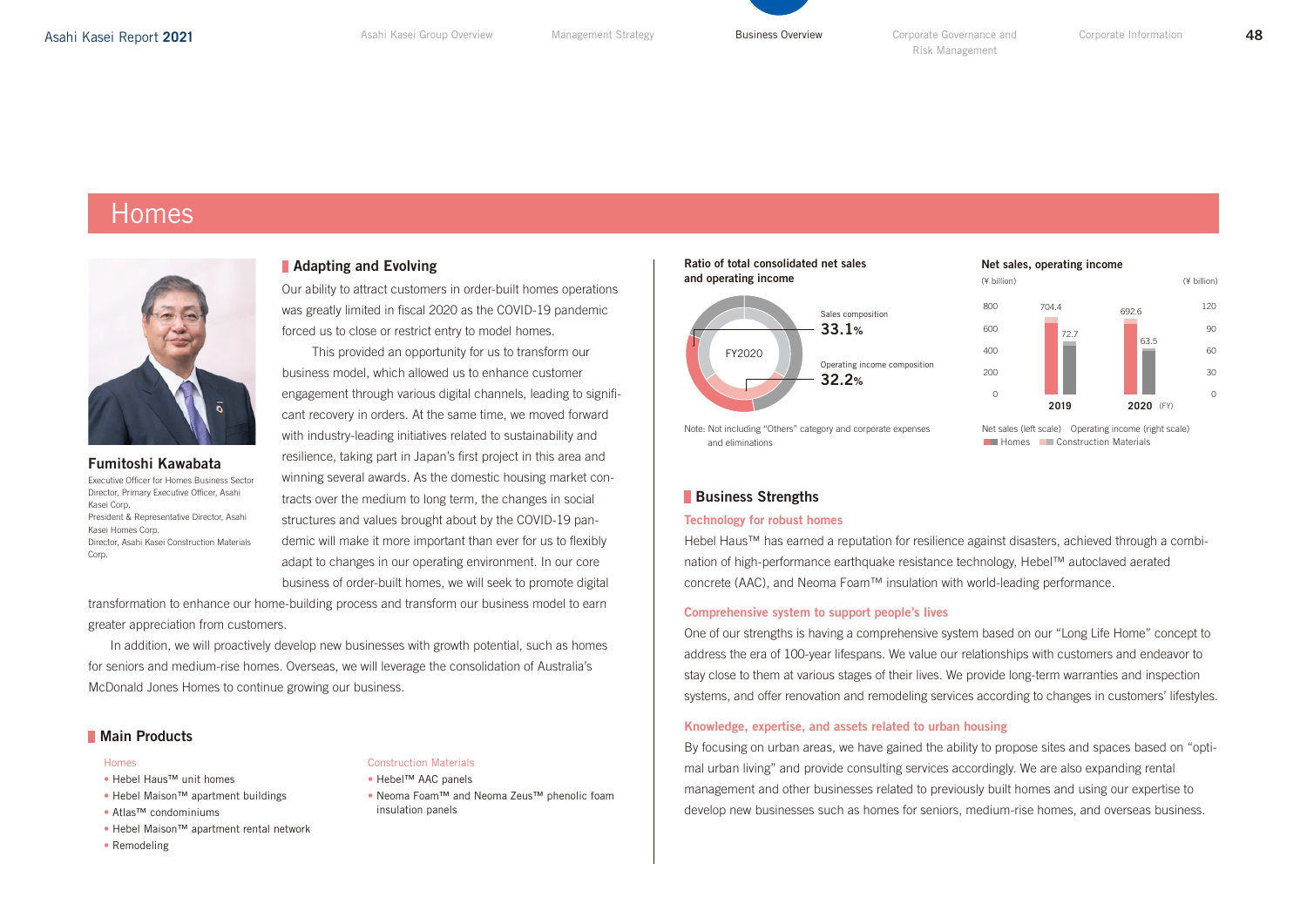# Homes



#### Fumitoshi Kawabata

Executive Officer for Homes Business Sector Director, Primary Executive Officer, Asahi Kasei Corp. President & Representative Director, Asahi Kasei Homes Corp. Director, Asahi Kasei Construction Materials Corp.

# **Adapting and Evolving**

Our ability to attract customers in order-built homes operations was greatly limited in fiscal 2020 as the COVID-19 pandemic forced us to close or restrict entry to model homes.

This provided an opportunity for us to transform our business model, which allowed us to enhance customer engagement through various digital channels, leading to significant recovery in orders. At the same time, we moved forward with industry-leading initiatives related to sustainability and resilience, taking part in Japan's first project in this area and winning several awards. As the domestic housing market contracts over the medium to long term, the changes in social structures and values brought about by the COVID-19 pandemic will make it more important than ever for us to flexibly adapt to changes in our operating environment. In our core business of order-built homes, we will seek to promote digital

transformation to enhance our home-building process and transform our business model to earn greater appreciation from customers.

In addition, we will proactively develop new businesses with growth potential, such as homes for seniors and medium-rise homes. Overseas, we will leverage the consolidation of Australia's McDonald Jones Homes to continue growing our business.

## **Main Products**

#### Homes

- Hebel Haus™ unit homes
- Hebel Maison™ apartment buildings
- Atlas™ condominiums
- Hebel Maison™ apartment rental network
- Remodeling

#### Construction Materials

- Hebel™ AAC panels
- Neoma Foam™ and Neoma Zeus™ phenolic foam insulation panels

#### Ratio of total consolidated net sales and operating income



Note: Not including "Others" category and corporate expenses and eliminations

#### Net sales, operating income



Net sales (left scale) Operating income (right scale) **Homes** Construction Materials

## **Business Strengths**

#### Technology for robust homes

Hebel Haus™ has earned a reputation for resilience against disasters, achieved through a combination of high-performance earthquake resistance technology, Hebel™ autoclaved aerated concrete (AAC), and Neoma Foam™ insulation with world-leading performance.

#### Comprehensive system to support people's lives

One of our strengths is having a comprehensive system based on our "Long Life Home" concept to address the era of 100-year lifespans. We value our relationships with customers and endeavor to stay close to them at various stages of their lives. We provide long-term warranties and inspection systems, and offer renovation and remodeling services according to changes in customers' lifestyles.

#### Knowledge, expertise, and assets related to urban housing

By focusing on urban areas, we have gained the ability to propose sites and spaces based on "optimal urban living" and provide consulting services accordingly. We are also expanding rental management and other businesses related to previously built homes and using our expertise to develop new businesses such as homes for seniors, medium-rise homes, and overseas business.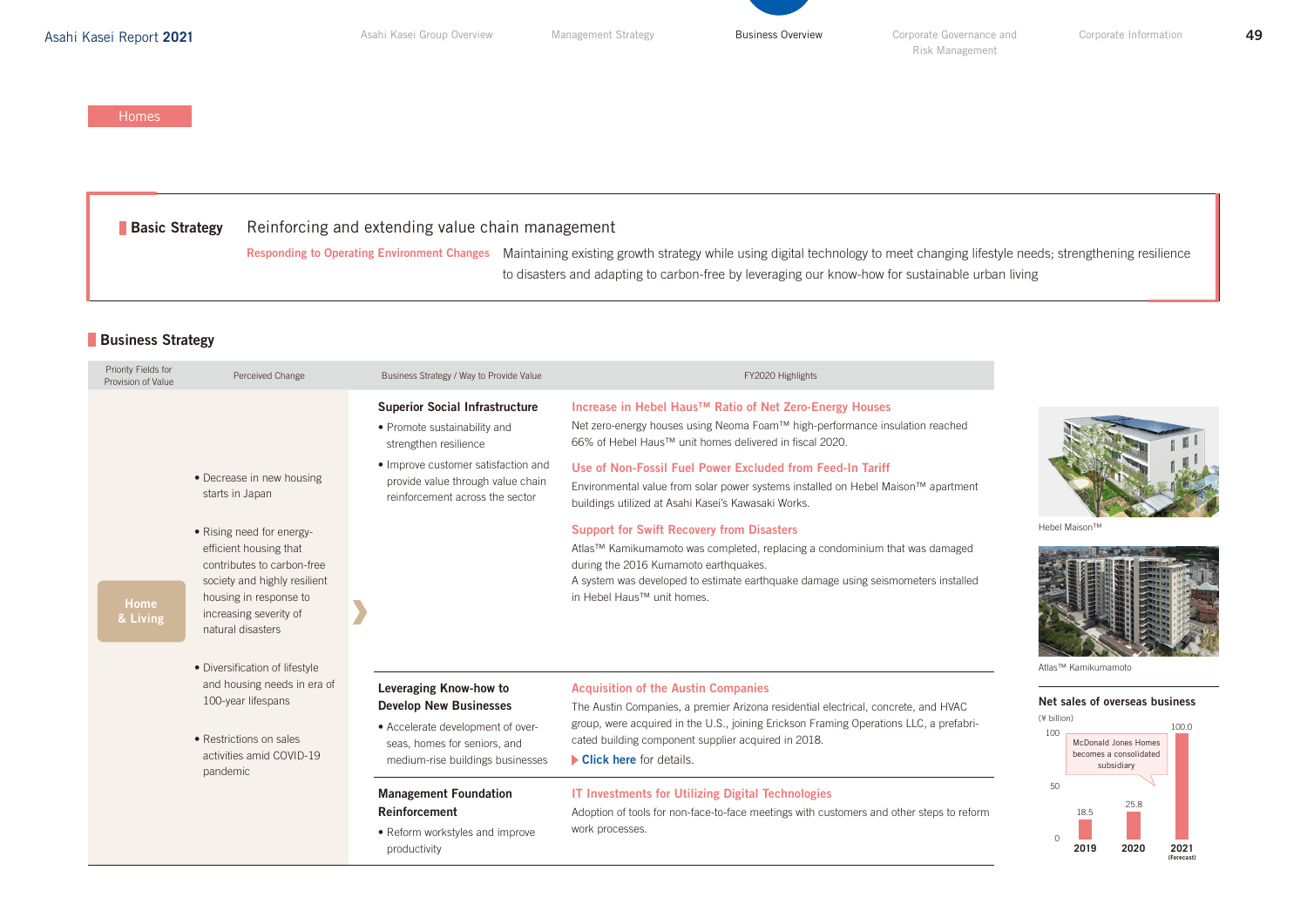# Basic Strategy Reinforcing and extending value chain management

Responding to Operating Environment Changes Maintaining existing growth strategy while using digital technology to meet changing lifestyle needs; strengthening resilience to disasters and adapting to carbon-free by leveraging our know-how for sustainable urban living

# **Business Strategy**

| Priority Fields for<br>Provision of Value | Perceived Change                                                                                                                                                                                                                                                                                                                                     | Business Strategy / Way to Provide Value                                                                                                                                                                      | FY2020 Highlights                                                                                                                                                                                                                                                                                                                                                                                                       |                                                                                                                               |
|-------------------------------------------|------------------------------------------------------------------------------------------------------------------------------------------------------------------------------------------------------------------------------------------------------------------------------------------------------------------------------------------------------|---------------------------------------------------------------------------------------------------------------------------------------------------------------------------------------------------------------|-------------------------------------------------------------------------------------------------------------------------------------------------------------------------------------------------------------------------------------------------------------------------------------------------------------------------------------------------------------------------------------------------------------------------|-------------------------------------------------------------------------------------------------------------------------------|
| Home<br>& Living                          | • Decrease in new housing<br>starts in Japan                                                                                                                                                                                                                                                                                                         | <b>Superior Social Infrastructure</b><br>• Promote sustainability and<br>strengthen resilience<br>• Improve customer satisfaction and<br>provide value through value chain<br>reinforcement across the sector | Increase in Hebel Haus <sup>™</sup> Ratio of Net Zero-Energy Houses<br>Net zero-energy houses using Neoma Foam™ high-performance insulation reached<br>66% of Hebel Haus™ unit homes delivered in fiscal 2020.<br>Use of Non-Fossil Fuel Power Excluded from Feed-In Tariff<br>Environmental value from solar power systems installed on Hebel Maison™ apartment<br>buildings utilized at Asahi Kasei's Kawasaki Works. |                                                                                                                               |
|                                           | • Rising need for energy-<br>efficient housing that<br>contributes to carbon-free<br>society and highly resilient<br>housing in response to<br>increasing severity of<br>natural disasters<br>• Diversification of lifestyle<br>and housing needs in era of<br>100-year lifespans<br>• Restrictions on sales<br>activities amid COVID-19<br>pandemic |                                                                                                                                                                                                               | <b>Support for Swift Recovery from Disasters</b><br>Atlas™ Kamikumamoto was completed, replacing a condominium that was damaged<br>during the 2016 Kumamoto earthquakes.<br>A system was developed to estimate earthquake damage using seismometers installed<br>in Hebel Haus™ unit homes.                                                                                                                             | Hebel Maison™<br>Atlas™ Kamikumamoto                                                                                          |
|                                           |                                                                                                                                                                                                                                                                                                                                                      | Leveraging Know-how to<br><b>Develop New Businesses</b><br>• Accelerate development of over-<br>seas, homes for seniors, and<br>medium-rise buildings businesses                                              | <b>Acquisition of the Austin Companies</b><br>The Austin Companies, a premier Arizona residential electrical, concrete, and HVAC<br>group, were acquired in the U.S., joining Erickson Framing Operations LLC, a prefabri-<br>cated building component supplier acquired in 2018.<br>$\triangleright$ Click here for details.                                                                                           | Net sales of overseas business<br>(¥ billion)<br>100.0<br>100<br>McDonald Jones Homes<br>becomes a consolidated<br>subsidiary |
|                                           |                                                                                                                                                                                                                                                                                                                                                      | <b>Management Foundation</b><br>Reinforcement<br>• Reform workstyles and improve<br>productivity                                                                                                              | IT Investments for Utilizing Digital Technologies<br>Adoption of tools for non-face-to-face meetings with customers and other steps to reform<br>work processes.                                                                                                                                                                                                                                                        | 50<br>25.8<br>18.5<br>2020<br>2021<br>2019<br>(Forecast)                                                                      |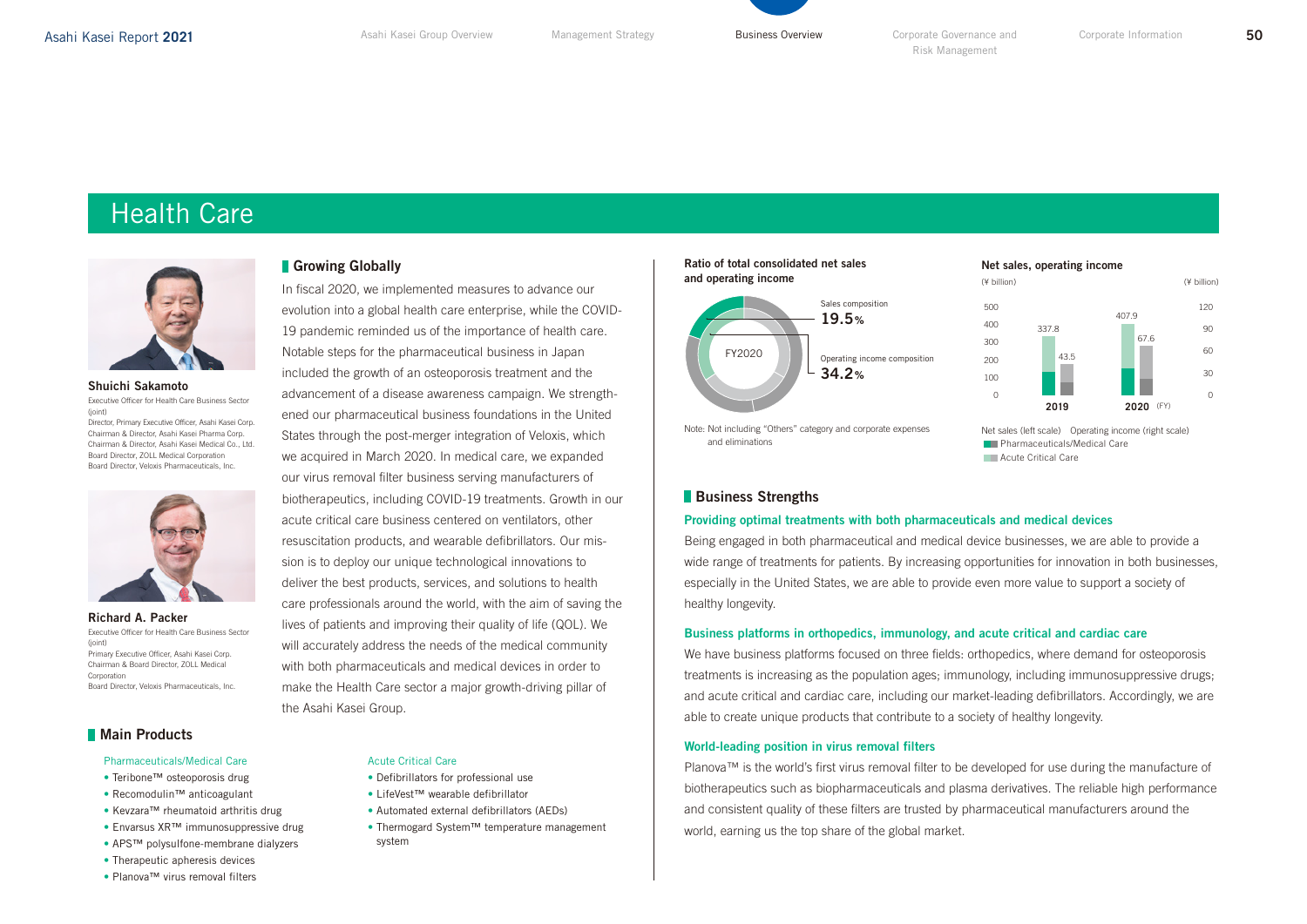# Health Care



Shuichi Sakamoto Executive Officer for Health Care Business Sector  $(j_0, j_1, j_2)$ 

Director, Primary Executive Officer, Asahi Kasei Corp. Chairman & Director, Asahi Kasei Pharma Corp. Chairman & Director, Asahi Kasei Medical Co., Ltd. Board Director, ZOLL Medical Corporation Board Director, Veloxis Pharmaceuticals, Inc.



Richard A. Packer Executive Officer for Health Care Business Sector (joint) Primary Executive Officer, Asahi Kasei Corp. Chairman & Board Director, ZOLL Medical Corporation Board Director, Veloxis Pharmaceuticals, Inc.

## **Main Products**

#### Pharmaceuticals/Medical Care

- Teribone™ osteoporosis drug
- Recomodulin™ anticoagulant
- Kevzara™ rheumatoid arthritis drug
- Envarsus XR™ immunosuppressive drug
- APS™ polysulfone-membrane dialyzers
- Therapeutic apheresis devices
- Planova™ virus removal filters

# Growing Globally

In fiscal 2020, we implemented measures to advance our evolution into a global health care enterprise, while the COVID-19 pandemic reminded us of the importance of health care. Notable steps for the pharmaceutical business in Japan included the growth of an osteoporosis treatment and the advancement of a disease awareness campaign. We strengthened our pharmaceutical business foundations in the United States through the post-merger integration of Veloxis, which we acquired in March 2020. In medical care, we expanded our virus removal filter business serving manufacturers of biotherapeutics, including COVID-19 treatments. Growth in our acute critical care business centered on ventilators, other resuscitation products, and wearable defibrillators. Our mission is to deploy our unique technological innovations to deliver the best products, services, and solutions to health care professionals around the world, with the aim of saving the lives of patients and improving their quality of life (QOL). We will accurately address the needs of the medical community with both pharmaceuticals and medical devices in order to make the Health Care sector a major growth-driving pillar of the Asahi Kasei Group.

Acute Critical Care

system

• Defibrillators for professional use • LifeVest™ wearable defibrillator • Automated external defibrillators (AEDs) • Thermogard System™ temperature management

#### Ratio of total consolidated net sales and operating income



#### Net sales, operating income (¥ billion) (¥ billion)



Note: Not including "Others" category and corporate expenses and eliminations

Net sales (left scale) Operating income (right scale) **Pharmaceuticals/Medical Care Acute Critical Care** 

# **Business Strengths**

#### Providing optimal treatments with both pharmaceuticals and medical devices

Being engaged in both pharmaceutical and medical device businesses, we are able to provide a wide range of treatments for patients. By increasing opportunities for innovation in both businesses, especially in the United States, we are able to provide even more value to support a society of healthy longevity.

### Business platforms in orthopedics, immunology, and acute critical and cardiac care

We have business platforms focused on three fields: orthopedics, where demand for osteoporosis treatments is increasing as the population ages; immunology, including immunosuppressive drugs; and acute critical and cardiac care, including our market-leading defibrillators. Accordingly, we are able to create unique products that contribute to a society of healthy longevity.

#### World-leading position in virus removal filters

Planova™ is the world's first virus removal filter to be developed for use during the manufacture of biotherapeutics such as biopharmaceuticals and plasma derivatives. The reliable high performance and consistent quality of these filters are trusted by pharmaceutical manufacturers around the world, earning us the top share of the global market.